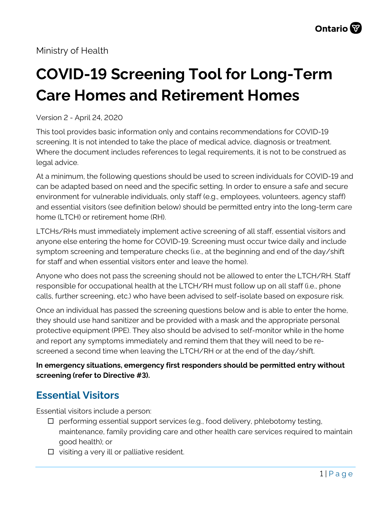# **COVID-19 Screening Tool for Long-Term Care Homes and Retirement Homes**

Version 2 - April 24, 2020

This tool provides basic information only and contains recommendations for COVID-19 screening. It is not intended to take the place of medical advice, diagnosis or treatment. Where the document includes references to legal requirements, it is not to be construed as legal advice.

At a minimum, the following questions should be used to screen individuals for COVID-19 and can be adapted based on need and the specific setting. In order to ensure a safe and secure environment for vulnerable individuals, only staff (e.g., employees, volunteers, agency staff) and essential visitors (see definition below) should be permitted entry into the long-term care home (LTCH) or retirement home (RH).

LTCHs/RHs must immediately implement active screening of all staff, essential visitors and anyone else entering the home for COVID-19. Screening must occur twice daily and include symptom screening and temperature checks (i.e., at the beginning and end of the day/shift for staff and when essential visitors enter and leave the home).

Anyone who does not pass the screening should not be allowed to enter the LTCH/RH. Staff responsible for occupational health at the LTCH/RH must follow up on all staff (i.e., phone calls, further screening, etc.) who have been advised to self-isolate based on exposure risk.

Once an individual has passed the screening questions below and is able to enter the home, they should use hand sanitizer and be provided with a mask and the appropriate personal protective equipment (PPE). They also should be advised to self-monitor while in the home and report any symptoms immediately and remind them that they will need to be rescreened a second time when leaving the LTCH/RH or at the end of the day/shift.

**In emergency situations, emergency first responders should be permitted entry without screening (refer to Directive #3).** 

## **Essential Visitors**

Essential visitors include a person:

- $\Box$  performing essential support services (e.g., food delivery, phlebotomy testing, maintenance, family providing care and other health care services required to maintain good health); or
- $\Box$  visiting a very ill or palliative resident.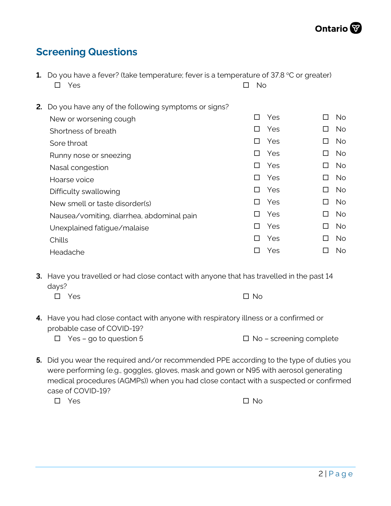## **Screening Questions**

|    | <b>1.</b> Do you have a fever? (take temperature; fever is a temperature of 37.8 $\degree$ C or greater) |                 |     |         |           |  |  |
|----|----------------------------------------------------------------------------------------------------------|-----------------|-----|---------|-----------|--|--|
|    | Yes                                                                                                      | <b>No</b><br>ΙI |     |         |           |  |  |
|    |                                                                                                          |                 |     |         |           |  |  |
| 2. | Do you have any of the following symptoms or signs?                                                      |                 |     |         |           |  |  |
|    | New or worsening cough                                                                                   | H               | Yes |         | No.       |  |  |
|    | Shortness of breath                                                                                      | ΙI              | Yes | П       | <b>No</b> |  |  |
|    | Sore throat                                                                                              | П               | Yes | П       | No.       |  |  |
|    | Runny nose or sneezing                                                                                   | П               | Yes | П       | <b>No</b> |  |  |
|    | Nasal congestion                                                                                         | П               | Yes | П       | No.       |  |  |
|    | Hoarse voice                                                                                             | П               | Yes | П       | No.       |  |  |
|    | Difficulty swallowing                                                                                    | $\perp$         | Yes | $\perp$ | No.       |  |  |
|    | New smell or taste disorder(s)                                                                           | П               | Yes | □       | <b>No</b> |  |  |
|    | Nausea/vomiting, diarrhea, abdominal pain                                                                | ΙI              | Yes | П       | No.       |  |  |
|    | Unexplained fatigue/malaise                                                                              | LΙ              | Yes | П       | <b>No</b> |  |  |
|    | Chills                                                                                                   | П               | Yes | П       | No.       |  |  |
|    | Headache                                                                                                 |                 | Yes |         | No.       |  |  |
|    |                                                                                                          |                 |     |         |           |  |  |

**3.** Have you travelled or had close contact with anyone that has travelled in the past 14 days?

| $\square$ Yes | $\square$ No |
|---------------|--------------|
|               |              |

**4.** Have you had close contact with anyone with respiratory illness or a confirmed or probable case of COVID-19?

 $\Box$  Yes – go to question 5  $\Box$  No – screening complete

**5.** Did you wear the required and/or recommended PPE according to the type of duties you were performing (e.g., goggles, gloves, mask and gown or N95 with aerosol generating medical procedures (AGMPs)) when you had close contact with a suspected or confirmed case of COVID-19?

 $\square$  Yes  $\square$  Yes  $\square$  No.